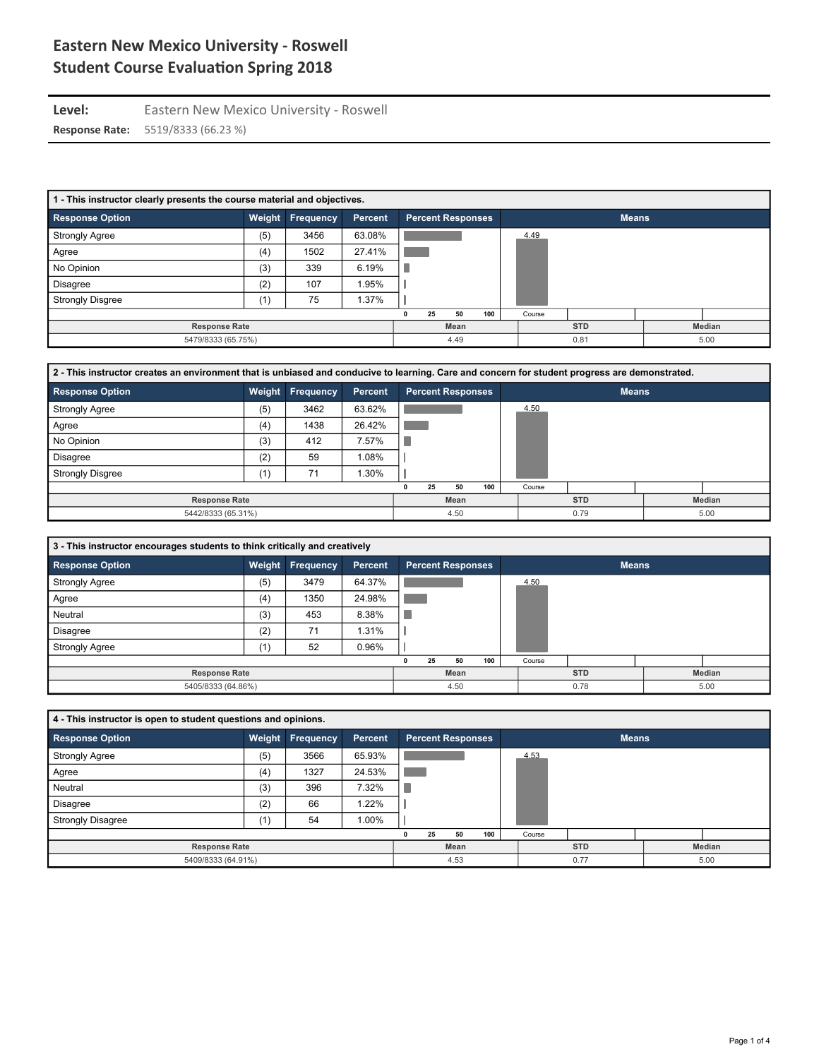Level: Eastern New Mexico University - Roswell

| 1 - This instructor clearly presents the course material and objectives. |        |           |                |    |                          |            |        |        |              |      |
|--------------------------------------------------------------------------|--------|-----------|----------------|----|--------------------------|------------|--------|--------|--------------|------|
| <b>Response Option</b>                                                   | Weight | Frequency | <b>Percent</b> |    | <b>Percent Responses</b> |            |        |        | <b>Means</b> |      |
| <b>Strongly Agree</b>                                                    | (5)    | 3456      | 63.08%         |    |                          |            | 4.49   |        |              |      |
| Agree                                                                    | (4)    | 1502      | 27.41%         |    |                          |            |        |        |              |      |
| No Opinion                                                               | (3)    | 339       | 6.19%          |    |                          |            |        |        |              |      |
| <b>Disagree</b>                                                          | (2)    | 107       | .95%           |    |                          |            |        |        |              |      |
| <b>Strongly Disgree</b>                                                  | (1)    | 75        | $1.37\%$       |    |                          |            |        |        |              |      |
|                                                                          |        |           |                | 25 | 50                       | 100        | Course |        |              |      |
| <b>Response Rate</b>                                                     |        |           | Mean           |    |                          | <b>STD</b> |        | Median |              |      |
| 5479/8333 (65.75%)                                                       |        |           |                |    | 4.49                     |            |        | 0.81   |              | 5.00 |

| 2 - This instructor creates an environment that is unbiased and conducive to learning. Care and concern for student progress are demonstrated. |        |           |         |    |                          |            |        |        |              |      |
|------------------------------------------------------------------------------------------------------------------------------------------------|--------|-----------|---------|----|--------------------------|------------|--------|--------|--------------|------|
| <b>Response Option</b>                                                                                                                         | Weight | Frequency | Percent |    | <b>Percent Responses</b> |            |        |        | <b>Means</b> |      |
| <b>Strongly Agree</b>                                                                                                                          | (5)    | 3462      | 63.62%  |    |                          |            | 4.50   |        |              |      |
| Agree                                                                                                                                          | (4)    | 1438      | 26.42%  |    |                          |            |        |        |              |      |
| No Opinion                                                                                                                                     | (3)    | 412       | 7.57%   |    |                          |            |        |        |              |      |
| <b>Disagree</b>                                                                                                                                | (2)    | 59        | 1.08%   |    |                          |            |        |        |              |      |
| <b>Strongly Disgree</b>                                                                                                                        | (1)    | 71        | 1.30%   |    |                          |            |        |        |              |      |
|                                                                                                                                                |        |           |         | 25 | 50                       | 100        | Course |        |              |      |
| <b>Response Rate</b>                                                                                                                           |        |           | Mean    |    |                          | <b>STD</b> |        | Median |              |      |
| 5442/8333 (65.31%)                                                                                                                             |        |           |         |    | 4.50                     |            |        | 0.79   |              | 5.00 |

| 3 - This instructor encourages students to think critically and creatively |        |                  |         |    |                          |     |        |              |        |
|----------------------------------------------------------------------------|--------|------------------|---------|----|--------------------------|-----|--------|--------------|--------|
| <b>Response Option</b>                                                     | Weight | <b>Frequency</b> | Percent |    | <b>Percent Responses</b> |     |        | <b>Means</b> |        |
| <b>Strongly Agree</b>                                                      | (5)    | 3479             | 64.37%  |    |                          |     | 4.50   |              |        |
| Agree                                                                      | (4)    | 1350             | 24.98%  |    |                          |     |        |              |        |
| Neutral                                                                    | (3)    | 453              | 8.38%   |    |                          |     |        |              |        |
| <b>Disagree</b>                                                            | (2)    | 71               | 1.31%   |    |                          |     |        |              |        |
| <b>Strongly Agree</b>                                                      | (1)    | 52               | 0.96%   |    |                          |     |        |              |        |
|                                                                            |        |                  |         | 25 | 50                       | 100 | Course |              |        |
| <b>Response Rate</b>                                                       |        |                  |         |    | Mean                     |     |        | <b>STD</b>   | Median |
| 5405/8333 (64.86%)                                                         |        |                  |         |    | 4.50                     |     |        | 0.78         | 5.00   |

| 4 - This instructor is open to student questions and opinions. |     |                         |         |    |                          |     |        |              |        |
|----------------------------------------------------------------|-----|-------------------------|---------|----|--------------------------|-----|--------|--------------|--------|
| <b>Response Option</b>                                         |     | <b>Weight Frequency</b> | Percent |    | <b>Percent Responses</b> |     |        | <b>Means</b> |        |
| <b>Strongly Agree</b>                                          | (5) | 3566                    | 65.93%  |    |                          |     | 4.53   |              |        |
| Agree                                                          | (4) | 1327                    | 24.53%  |    |                          |     |        |              |        |
| Neutral                                                        | (3) | 396                     | 7.32%   |    |                          |     |        |              |        |
| <b>Disagree</b>                                                | (2) | 66                      | 1.22%   |    |                          |     |        |              |        |
| <b>Strongly Disagree</b>                                       | (1) | 54                      | 1.00%   |    |                          |     |        |              |        |
|                                                                |     |                         |         | 25 | 50                       | 100 | Course |              |        |
| <b>Response Rate</b>                                           |     |                         |         |    | Mean                     |     |        | <b>STD</b>   | Median |
| 5409/8333 (64.91%)                                             |     |                         |         |    | 4.53                     |     |        | 0.77         | 5.00   |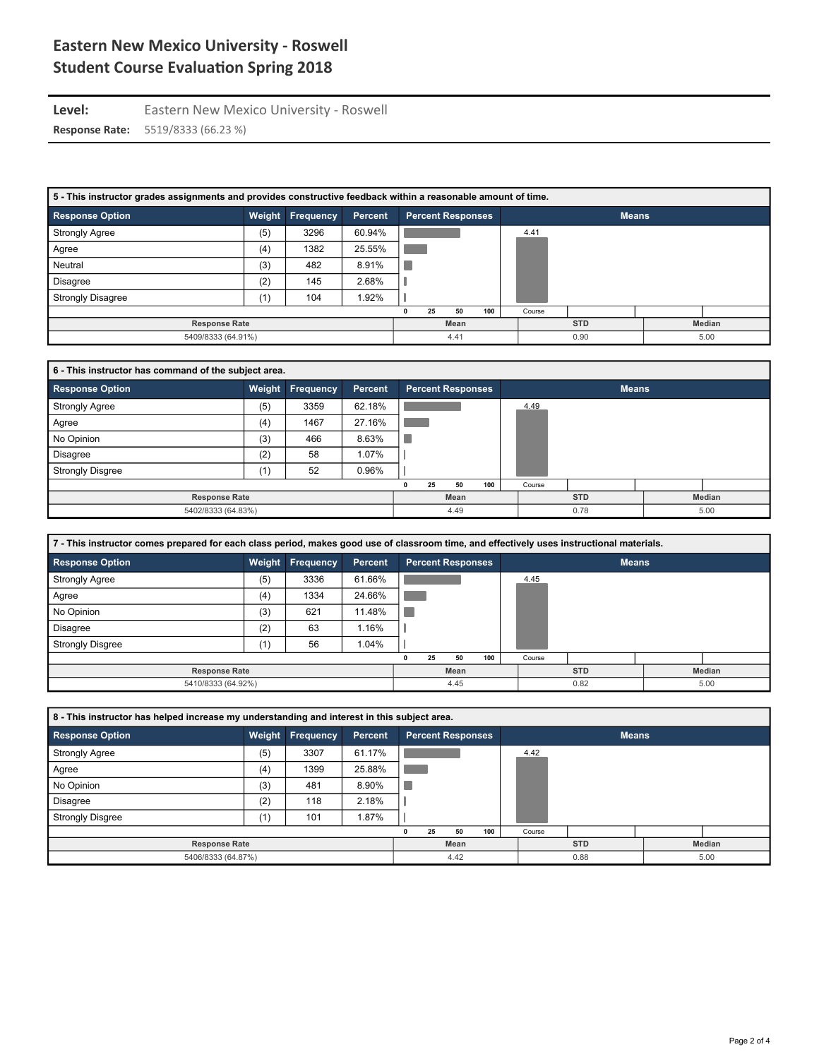Level: Eastern New Mexico University - Roswell

| 5 - This instructor grades assignments and provides constructive feedback within a reasonable amount of time. |        |           |         |    |                          |            |               |              |      |
|---------------------------------------------------------------------------------------------------------------|--------|-----------|---------|----|--------------------------|------------|---------------|--------------|------|
| <b>Response Option</b>                                                                                        | Weight | Frequency | Percent |    | <b>Percent Responses</b> |            |               | <b>Means</b> |      |
| <b>Strongly Agree</b>                                                                                         | (5)    | 3296      | 60.94%  |    |                          |            | 4.41          |              |      |
| Agree                                                                                                         | (4)    | 1382      | 25.55%  |    |                          |            |               |              |      |
| Neutral                                                                                                       | (3)    | 482       | 8.91%   |    |                          |            |               |              |      |
| <b>Disagree</b>                                                                                               | (2)    | 145       | 2.68%   |    |                          |            |               |              |      |
| <b>Strongly Disagree</b>                                                                                      | (1)    | 104       | 1.92%   |    |                          |            |               |              |      |
|                                                                                                               |        |           |         | 25 | 50                       | 100        | Course        |              |      |
| <b>Response Rate</b>                                                                                          |        |           | Mean    |    |                          | <b>STD</b> | <b>Median</b> |              |      |
| 5409/8333 (64.91%)                                                                                            |        |           |         |    | 4.41                     |            |               | 0.90         | 5.00 |

| 6 - This instructor has command of the subject area. |     |                  |         |    |                          |            |               |              |      |
|------------------------------------------------------|-----|------------------|---------|----|--------------------------|------------|---------------|--------------|------|
| <b>Response Option</b>                               |     | Weight Frequency | Percent |    | <b>Percent Responses</b> |            |               | <b>Means</b> |      |
| <b>Strongly Agree</b>                                | (5) | 3359             | 62.18%  |    |                          |            | 4.49          |              |      |
| Agree                                                | (4) | 1467             | 27.16%  |    |                          |            |               |              |      |
| No Opinion                                           | (3) | 466              | 8.63%   |    |                          |            |               |              |      |
| <b>Disagree</b>                                      | (2) | 58               | 1.07%   |    |                          |            |               |              |      |
| <b>Strongly Disgree</b>                              | (1) | 52               | 0.96%   |    |                          |            |               |              |      |
|                                                      |     |                  |         | 25 | 50                       | 100        | Course        |              |      |
| <b>Response Rate</b>                                 |     |                  | Mean    |    |                          | <b>STD</b> | <b>Median</b> |              |      |
| 5402/8333 (64.83%)                                   |     |                  |         |    | 4.49                     |            |               | 0.78         | 5.00 |

| 7 - This instructor comes prepared for each class period, makes good use of classroom time, and effectively uses instructional materials. |     |                  |         |    |                          |            |               |              |      |
|-------------------------------------------------------------------------------------------------------------------------------------------|-----|------------------|---------|----|--------------------------|------------|---------------|--------------|------|
| <b>Response Option</b>                                                                                                                    |     | Weight Frequency | Percent |    | <b>Percent Responses</b> |            |               | <b>Means</b> |      |
| <b>Strongly Agree</b>                                                                                                                     | (5) | 3336             | 61.66%  |    |                          |            | 4.45          |              |      |
| Agree                                                                                                                                     | (4) | 1334             | 24.66%  |    |                          |            |               |              |      |
| No Opinion                                                                                                                                | (3) | 621              | 11.48%  |    |                          |            |               |              |      |
| Disagree                                                                                                                                  | (2) | 63               | 1.16%   |    |                          |            |               |              |      |
| <b>Strongly Disgree</b>                                                                                                                   | (1) | 56               | 1.04%   |    |                          |            |               |              |      |
|                                                                                                                                           |     |                  |         | 25 | 50                       | 100        | Course        |              |      |
| <b>Response Rate</b>                                                                                                                      |     |                  | Mean    |    |                          | <b>STD</b> | <b>Median</b> |              |      |
| 5410/8333 (64.92%)                                                                                                                        |     |                  |         |    | 4.45                     |            |               | 0.82         | 5.00 |

| 8 - This instructor has helped increase my understanding and interest in this subject area. |     |                         |         |    |                          |     |        |              |        |
|---------------------------------------------------------------------------------------------|-----|-------------------------|---------|----|--------------------------|-----|--------|--------------|--------|
| <b>Response Option</b>                                                                      |     | <b>Weight Frequency</b> | Percent |    | <b>Percent Responses</b> |     |        | <b>Means</b> |        |
| <b>Strongly Agree</b>                                                                       | (5) | 3307                    | 61.17%  |    |                          |     | 4.42   |              |        |
| Agree                                                                                       | (4) | 1399                    | 25.88%  |    |                          |     |        |              |        |
| No Opinion                                                                                  | (3) | 481                     | 8.90%   |    |                          |     |        |              |        |
| <b>Disagree</b>                                                                             | (2) | 118                     | 2.18%   |    |                          |     |        |              |        |
| <b>Strongly Disgree</b>                                                                     | (1) | 101                     | 1.87%   |    |                          |     |        |              |        |
|                                                                                             |     |                         |         | 25 | 50                       | 100 | Course |              |        |
| <b>Response Rate</b>                                                                        |     |                         |         |    | Mean                     |     |        | <b>STD</b>   | Median |
| 5406/8333 (64.87%)                                                                          |     |                         |         |    | 4.42                     |     |        | 0.88         | 5.00   |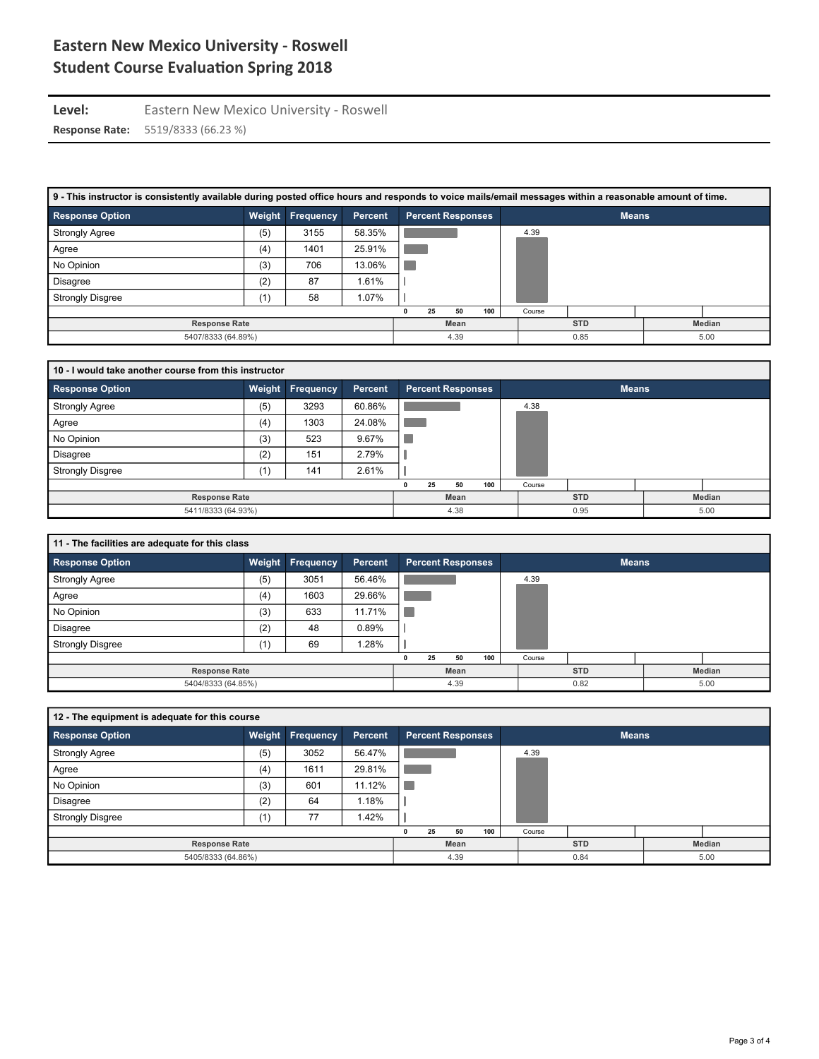Level: Eastern New Mexico University - Roswell

| 9 - This instructor is consistently available during posted office hours and responds to voice mails/email messages within a reasonable amount of time. |     |                  |         |    |                          |            |               |              |      |
|---------------------------------------------------------------------------------------------------------------------------------------------------------|-----|------------------|---------|----|--------------------------|------------|---------------|--------------|------|
| <b>Response Option</b>                                                                                                                                  |     | Weight Frequency | Percent |    | <b>Percent Responses</b> |            |               | <b>Means</b> |      |
| <b>Strongly Agree</b>                                                                                                                                   | (5) | 3155             | 58.35%  |    |                          |            | 4.39          |              |      |
| Agree                                                                                                                                                   | (4) | 1401             | 25.91%  |    |                          |            |               |              |      |
| No Opinion                                                                                                                                              | (3) | 706              | 13.06%  |    |                          |            |               |              |      |
| Disagree                                                                                                                                                | (2) | 87               | 1.61%   |    |                          |            |               |              |      |
| <b>Strongly Disgree</b>                                                                                                                                 | (1) | 58               | 1.07%   |    |                          |            |               |              |      |
|                                                                                                                                                         |     |                  |         | 25 | 50                       | 100        | Course        |              |      |
| <b>Response Rate</b>                                                                                                                                    |     |                  | Mean    |    |                          | <b>STD</b> | <b>Median</b> |              |      |
| 5407/8333 (64.89%)                                                                                                                                      |     |                  |         |    | 4.39                     |            |               | 0.85         | 5.00 |

| 10 - I would take another course from this instructor |     |                         |         |    |      |                          |        |              |        |
|-------------------------------------------------------|-----|-------------------------|---------|----|------|--------------------------|--------|--------------|--------|
| <b>Response Option</b>                                |     | <b>Weight Frequency</b> | Percent |    |      | <b>Percent Responses</b> |        | <b>Means</b> |        |
| <b>Strongly Agree</b>                                 | (5) | 3293                    | 60.86%  |    |      |                          | 4.38   |              |        |
| Agree                                                 | (4) | 1303                    | 24.08%  |    |      |                          |        |              |        |
| No Opinion                                            | (3) | 523                     | 9.67%   |    |      |                          |        |              |        |
| <b>Disagree</b>                                       | (2) | 151                     | 2.79%   |    |      |                          |        |              |        |
| <b>Strongly Disgree</b>                               | (1) | 141                     | 2.61%   |    |      |                          |        |              |        |
|                                                       |     |                         |         | 25 | 50   | 100                      | Course |              |        |
| <b>Response Rate</b>                                  |     |                         |         |    | Mean |                          |        | <b>STD</b>   | Median |
| 5411/8333 (64.93%)                                    |     |                         |         |    | 4.38 |                          |        | 0.95         | 5.00   |

| 11 - The facilities are adequate for this class |     |                  |         |    |                          |     |        |              |        |
|-------------------------------------------------|-----|------------------|---------|----|--------------------------|-----|--------|--------------|--------|
| <b>Response Option</b>                          |     | Weight Frequency | Percent |    | <b>Percent Responses</b> |     |        | <b>Means</b> |        |
| <b>Strongly Agree</b>                           | (5) | 3051             | 56.46%  |    |                          |     | 4.39   |              |        |
| Agree                                           | (4) | 1603             | 29.66%  |    |                          |     |        |              |        |
| No Opinion                                      | (3) | 633              | 11.71%  |    |                          |     |        |              |        |
| <b>Disagree</b>                                 | (2) | 48               | 0.89%   |    |                          |     |        |              |        |
| <b>Strongly Disgree</b>                         | (1) | 69               | .28%    |    |                          |     |        |              |        |
|                                                 |     |                  |         | 25 | 50                       | 100 | Course |              |        |
| <b>Response Rate</b>                            |     |                  |         |    | Mean                     |     |        | <b>STD</b>   | Median |
| 5404/8333 (64.85%)                              |     |                  |         |    | 4.39                     |     |        | 0.82         | 5.00   |

| 12 - The equipment is adequate for this course |     |                  |         |    |                          |     |        |              |        |
|------------------------------------------------|-----|------------------|---------|----|--------------------------|-----|--------|--------------|--------|
| <b>Response Option</b>                         |     | Weight Frequency | Percent |    | <b>Percent Responses</b> |     |        | <b>Means</b> |        |
| <b>Strongly Agree</b>                          | (5) | 3052             | 56.47%  |    |                          |     | 4.39   |              |        |
| Agree                                          | (4) | 1611             | 29.81%  |    |                          |     |        |              |        |
| No Opinion                                     | (3) | 601              | 11.12%  |    |                          |     |        |              |        |
| <b>Disagree</b>                                | (2) | 64               | 1.18%   |    |                          |     |        |              |        |
| <b>Strongly Disgree</b>                        | (1) | 77               | 1.42%   |    |                          |     |        |              |        |
|                                                |     |                  |         | 25 | 50                       | 100 | Course |              |        |
| <b>Response Rate</b>                           |     |                  |         |    | Mean                     |     |        | <b>STD</b>   | Median |
| 5405/8333 (64.86%)                             |     |                  |         |    | 4.39                     |     |        | 0.84         | 5.00   |